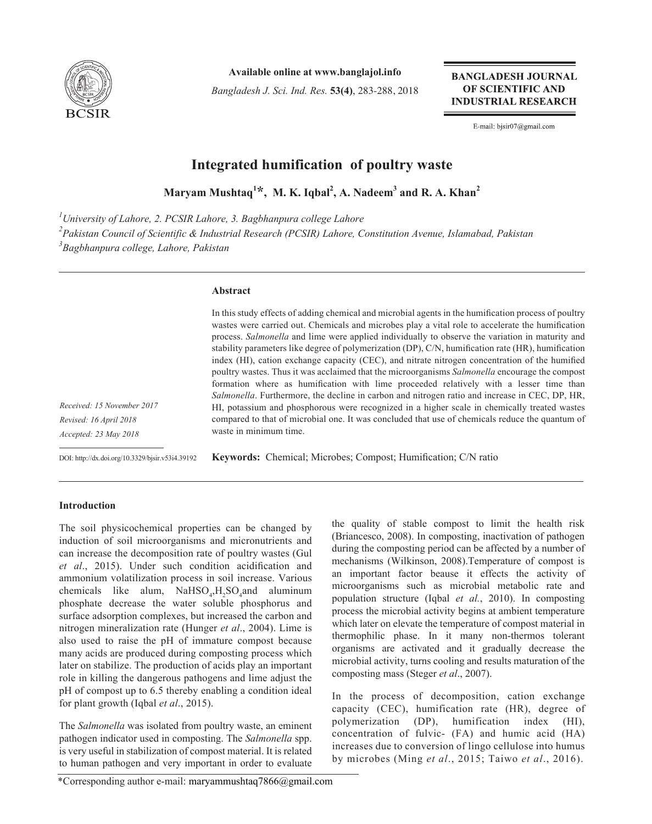

**Available online at www.banglajol.info**

*Bangladesh J. Sci. Ind. Res.* **53(4)**, 283-288, 2018

**BANGLADESH JOURNAL** OF SCIENTIFIC AND **INDUSTRIAL RESEARCH** 

E-mail: bjsir07@gmail.com

# **Integrated humification of poultry waste**

**Maryam Mushtaq<sup>1</sup> \*, M. K. Iqbal2 , A. Nadeem<sup>3</sup> and R. A. Khan<sup>2</sup>**

*1 University of Lahore, 2. PCSIR Lahore, 3. Bagbhanpura college Lahore*

*2 Pakistan Council of Scientific & Industrial Research (PCSIR) Lahore, Constitution Avenue, Islamabad, Pakistan 3 Bagbhanpura college, Lahore, Pakistan*

## **Abstract**

In this study effects of adding chemical and microbial agents in the humification process of poultry wastes were carried out. Chemicals and microbes play a vital role to accelerate the humification process. *Salmonella* and lime were applied individually to observe the variation in maturity and stability parameters like degree of polymerization (DP), C/N, humification rate (HR), humification index (HI), cation exchange capacity (CEC), and nitrate nitrogen concentration of the humified poultry wastes. Thus it was acclaimed that the microorganisms *Salmonella* encourage the compost formation where as humification with lime proceeded relatively with a lesser time than *Salmonella*. Furthermore, the decline in carbon and nitrogen ratio and increase in CEC, DP, HR, HI, potassium and phosphorous were recognized in a higher scale in chemically treated wastes compared to that of microbial one. It was concluded that use of chemicals reduce the quantum of waste in minimum time.

*Received: 15 November 2017 Revised: 16 April 2018 Accepted: 23 May 2018*

DOI: http://dx.doi.org/10.3329/bjsir.v53i4.39192

**Keywords:** Chemical; Microbes; Compost; Humification; C/N ratio

## **Introduction**

The soil physicochemical properties can be changed by induction of soil microorganisms and micronutrients and can increase the decomposition rate of poultry wastes (Gul *et al*., 2015). Under such condition acidification and ammonium volatilization process in soil increase. Various chemicals like alum,  $NaHSO_4, H_2SO_4$  and aluminum phosphate decrease the water soluble phosphorus and surface adsorption complexes, but increased the carbon and nitrogen mineralization rate (Hunger *et al*., 2004). Lime is also used to raise the pH of immature compost because many acids are produced during composting process which later on stabilize. The production of acids play an important role in killing the dangerous pathogens and lime adjust the pH of compost up to 6.5 thereby enabling a condition ideal for plant growth (Iqbal *et al*., 2015).

The *Salmonella* was isolated from poultry waste, an eminent pathogen indicator used in composting. The *Salmonella* spp. is very useful in stabilization of compost material. It is related to human pathogen and very important in order to evaluate

(Briancesco, 2008). In composting, inactivation of pathogen during the composting period can be affected by a number of mechanisms (Wilkinson, 2008).Temperature of compost is an important factor beause it effects the activity of microorganisms such as microbial metabolic rate and population structure (Iqbal *et al.*, 2010). In composting process the microbial activity begins at ambient temperature which later on elevate the temperature of compost material in thermophilic phase. In it many non-thermos tolerant organisms are activated and it gradually decrease the microbial activity, turns cooling and results maturation of the composting mass (Steger *et al*., 2007).

the quality of stable compost to limit the health risk

In the process of decomposition, cation exchange capacity (CEC), humification rate (HR), degree of polymerization (DP), humification index (HI), concentration of fulvic- (FA) and humic acid (HA) increases due to conversion of lingo cellulose into humus by microbes (Ming *et al*., 2015; Taiwo *et al*., 2016).

\*Corresponding author e-mail: maryammushtaq7866@gmail.com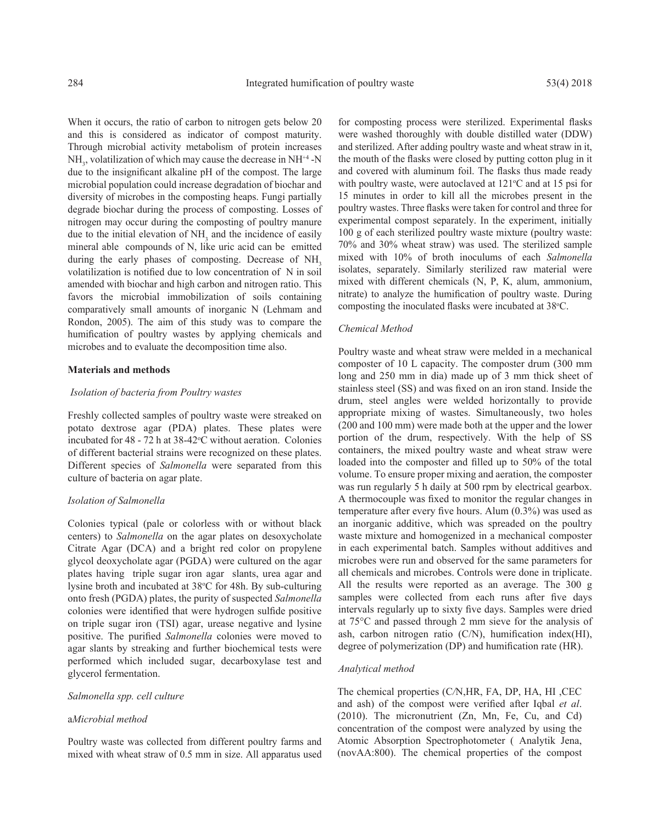When it occurs, the ratio of carbon to nitrogen gets below 20 and this is considered as indicator of compost maturity. Through microbial activity metabolism of protein increases  $NH<sub>3</sub>$ , volatilization of which may cause the decrease in NH<sup>+4</sup> -N due to the insignificant alkaline pH of the compost. The large microbial population could increase degradation of biochar and diversity of microbes in the composting heaps. Fungi partially degrade biochar during the process of composting. Losses of nitrogen may occur during the composting of poultry manure due to the initial elevation of  $NH<sub>3</sub>$  and the incidence of easily mineral able compounds of N, like uric acid can be emitted during the early phases of composting. Decrease of NH<sub>3</sub> volatilization is notified due to low concentration of N in soil amended with biochar and high carbon and nitrogen ratio. This favors the microbial immobilization of soils containing comparatively small amounts of inorganic N (Lehmam and Rondon, 2005). The aim of this study was to compare the humification of poultry wastes by applying chemicals and microbes and to evaluate the decomposition time also.

#### **Materials and methods**

#### *Isolation of bacteria from Poultry wastes*

Freshly collected samples of poultry waste were streaked on potato dextrose agar (PDA) plates. These plates were incubated for 48 - 72 h at 38-42°C without aeration. Colonies of different bacterial strains were recognized on these plates. Different species of *Salmonella* were separated from this culture of bacteria on agar plate.

### *Isolation of Salmonella*

Colonies typical (pale or colorless with or without black centers) to *Salmonella* on the agar plates on desoxycholate Citrate Agar (DCA) and a bright red color on propylene glycol deoxycholate agar (PGDA) were cultured on the agar plates having triple sugar iron agar slants, urea agar and lysine broth and incubated at 38°C for 48h. By sub-culturing onto fresh (PGDA) plates, the purity of suspected *Salmonella* colonies were identified that were hydrogen sulfide positive on triple sugar iron (TSI) agar, urease negative and lysine positive. The purified *Salmonella* colonies were moved to agar slants by streaking and further biochemical tests were performed which included sugar, decarboxylase test and glycerol fermentation.

### *Salmonella spp. cell culture*

### a*Microbial method*

Poultry waste was collected from different poultry farms and mixed with wheat straw of 0.5 mm in size. All apparatus used

for composting process were sterilized. Experimental flasks were washed thoroughly with double distilled water (DDW) and sterilized. After adding poultry waste and wheat straw in it, the mouth of the flasks were closed by putting cotton plug in it and covered with aluminum foil. The flasks thus made ready with poultry waste, were autoclaved at  $121^{\circ}$ C and at 15 psi for 15 minutes in order to kill all the microbes present in the poultry wastes. Three flasks were taken for control and three for experimental compost separately. In the experiment, initially 100 g of each sterilized poultry waste mixture (poultry waste: 70% and 30% wheat straw) was used. The sterilized sample mixed with 10% of broth inoculums of each *Salmonella*  isolates, separately. Similarly sterilized raw material were mixed with different chemicals (N, P, K, alum, ammonium, nitrate) to analyze the humification of poultry waste. During composting the inoculated flasks were incubated at 38°C.

#### *Chemical Method*

Poultry waste and wheat straw were melded in a mechanical composter of 10 L capacity. The composter drum (300 mm long and 250 mm in dia) made up of 3 mm thick sheet of stainless steel (SS) and was fixed on an iron stand. Inside the drum, steel angles were welded horizontally to provide appropriate mixing of wastes. Simultaneously, two holes (200 and 100 mm) were made both at the upper and the lower portion of the drum, respectively. With the help of SS containers, the mixed poultry waste and wheat straw were loaded into the composter and filled up to 50% of the total volume. To ensure proper mixing and aeration, the composter was run regularly 5 h daily at 500 rpm by electrical gearbox. A thermocouple was fixed to monitor the regular changes in temperature after every five hours. Alum (0.3%) was used as an inorganic additive, which was spreaded on the poultry waste mixture and homogenized in a mechanical composter in each experimental batch. Samples without additives and microbes were run and observed for the same parameters for all chemicals and microbes. Controls were done in triplicate. All the results were reported as an average. The 300 g samples were collected from each runs after five days intervals regularly up to sixty five days. Samples were dried at 75°C and passed through 2 mm sieve for the analysis of ash, carbon nitrogen ratio (C/N), humification index(HI), degree of polymerization (DP) and humification rate (HR).

## *Analytical method*

The chemical properties (C*/*N,HR, FA, DP, HA, HI ,CEC and ash) of the compost were verified after Iqbal *et al*. (2010). The micronutrient (Zn, Mn, Fe, Cu, and Cd) concentration of the compost were analyzed by using the Atomic Absorption Spectrophotometer ( Analytik Jena, (novAA:800). The chemical properties of the compost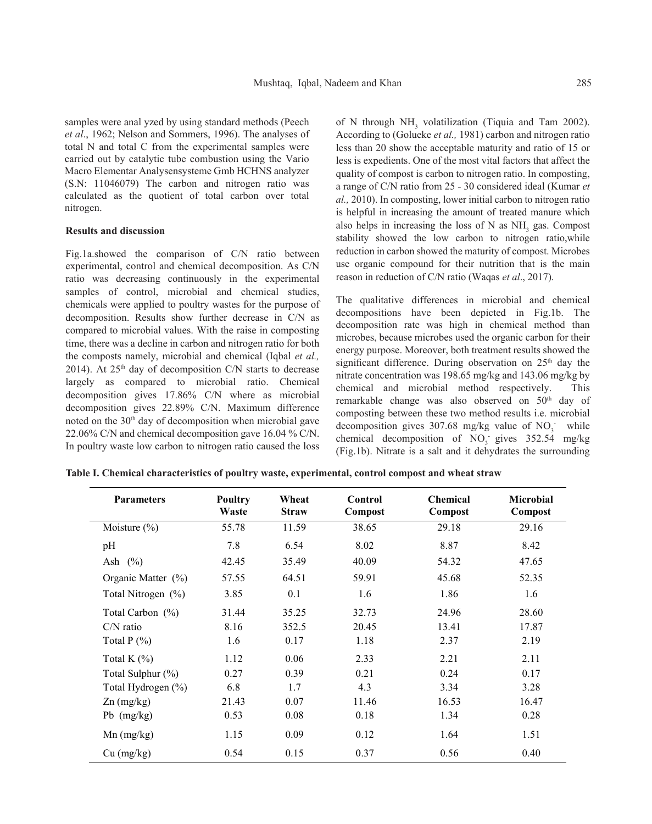samples were anal yzed by using standard methods (Peech *et al*., 1962; Nelson and Sommers, 1996). The analyses of total N and total C from the experimental samples were carried out by catalytic tube combustion using the Vario Macro Elementar Analysensysteme Gmb HCHNS analyzer (S.N: 11046079) The carbon and nitrogen ratio was calculated as the quotient of total carbon over total nitrogen.

### **Results and discussion**

Fig.1a.showed the comparison of C/N ratio between experimental, control and chemical decomposition. As C/N ratio was decreasing continuously in the experimental samples of control, microbial and chemical studies, chemicals were applied to poultry wastes for the purpose of decomposition. Results show further decrease in C/N as compared to microbial values. With the raise in composting time, there was a decline in carbon and nitrogen ratio for both the composts namely, microbial and chemical (Iqbal *et al.,* 2014). At  $25<sup>th</sup>$  day of decomposition C/N starts to decrease largely as compared to microbial ratio. Chemical decomposition gives 17.86% C/N where as microbial decomposition gives 22.89% C/N. Maximum difference noted on the 30<sup>th</sup> day of decomposition when microbial gave 22.06% C/N and chemical decomposition gave 16.04 % C/N. In poultry waste low carbon to nitrogen ratio caused the loss

of N through  $NH_3$  volatilization (Tiquia and Tam 2002). According to (Golueke *et al.,* 1981) carbon and nitrogen ratio less than 20 show the acceptable maturity and ratio of 15 or less is expedients. One of the most vital factors that affect the quality of compost is carbon to nitrogen ratio. In composting, a range of C/N ratio from 25 - 30 considered ideal (Kumar *et al.,* 2010). In composting, lower initial carbon to nitrogen ratio is helpful in increasing the amount of treated manure which also helps in increasing the loss of N as  $NH<sub>3</sub>$  gas. Compost stability showed the low carbon to nitrogen ratio,while reduction in carbon showed the maturity of compost. Microbes use organic compound for their nutrition that is the main reason in reduction of C/N ratio (Waqas *et al*., 2017).

The qualitative differences in microbial and chemical decompositions have been depicted in Fig.1b. The decomposition rate was high in chemical method than microbes, because microbes used the organic carbon for their energy purpose. Moreover, both treatment results showed the significant difference. During observation on  $25<sup>th</sup>$  day the nitrate concentration was 198.65 mg/kg and 143.06 mg/kg by chemical and microbial method respectively. This remarkable change was also observed on 50<sup>th</sup> day of composting between these two method results i.e. microbial decomposition gives  $307.68$  mg/kg value of NO<sub>3</sub> while chemical decomposition of  $NO_3$  gives 352.54 mg/kg (Fig.1b). Nitrate is a salt and it dehydrates the surrounding

| <b>Parameters</b>    | <b>Poultry</b><br>Waste | Wheat<br><b>Straw</b> | Control<br>Compost | Chemical<br>Compost | <b>Microbial</b><br>Compost |
|----------------------|-------------------------|-----------------------|--------------------|---------------------|-----------------------------|
| Moisture $(\%)$      | 55.78                   | 11.59                 | 38.65              | 29.18               | 29.16                       |
| pH                   | 7.8                     | 6.54                  | 8.02               | 8.87                | 8.42                        |
| Ash $(\%)$           | 42.45                   | 35.49                 | 40.09              | 54.32               | 47.65                       |
| Organic Matter (%)   | 57.55                   | 64.51                 | 59.91              | 45.68               | 52.35                       |
| Total Nitrogen (%)   | 3.85                    | 0.1                   | 1.6                | 1.86                | 1.6                         |
| Total Carbon $(\% )$ | 31.44                   | 35.25                 | 32.73              | 24.96               | 28.60                       |
| $C/N$ ratio          | 8.16                    | 352.5                 | 20.45              | 13.41               | 17.87                       |
| Total $P(\% )$       | 1.6                     | 0.17                  | 1.18               | 2.37                | 2.19                        |
| Total K $(\%)$       | 1.12                    | 0.06                  | 2.33               | 2.21                | 2.11                        |
| Total Sulphur (%)    | 0.27                    | 0.39                  | 0.21               | 0.24                | 0.17                        |
| Total Hydrogen (%)   | 6.8                     | 1.7                   | 4.3                | 3.34                | 3.28                        |
| $\text{Zn (mg/kg)}$  | 21.43                   | 0.07                  | 11.46              | 16.53               | 16.47                       |
| Pb $(mg/kg)$         | 0.53                    | 0.08                  | 0.18               | 1.34                | 0.28                        |
| $Mn$ (mg/kg)         | 1.15                    | 0.09                  | 0.12               | 1.64                | 1.51                        |
| $Cu$ (mg/kg)         | 0.54                    | 0.15                  | 0.37               | 0.56                | 0.40                        |

**Table I. Chemical characteristics of poultry waste, experimental, control compost and wheat straw**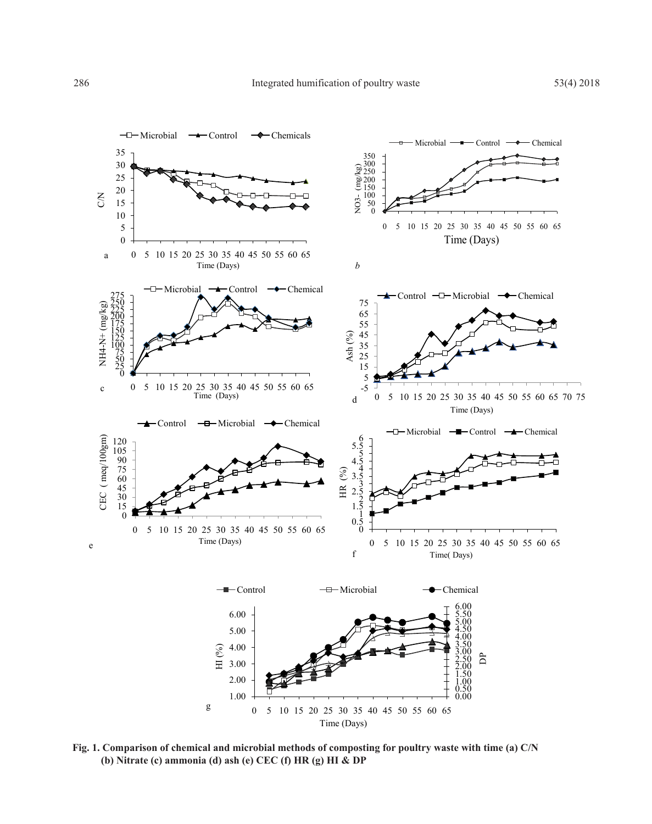

**Fig. 1. Comparison of chemical and microbial methods of composting for poultry waste with time (a) C/N (b) Nitrate (c) ammonia (d) ash (e) CEC (f) HR (g) HI & DP**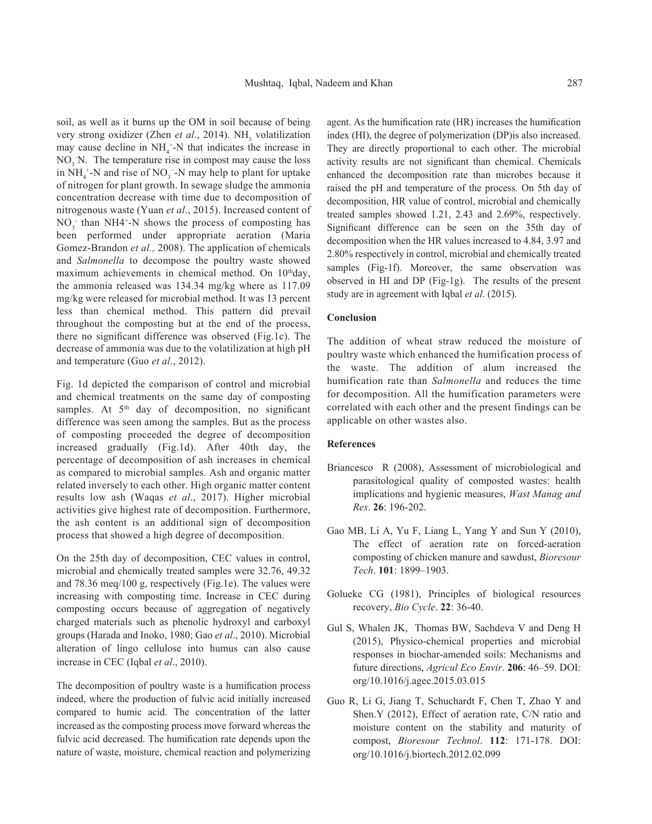soil, as well as it burns up the OM in soil because of being very strong oxidizer (Zhen *et al.*, 2014). NH<sub>3</sub> volatilization may cause decline in  $NH_4^+$ -N that indicates the increase in  $NO<sub>3</sub>$ <sup>-</sup>N. The temperature rise in compost may cause the loss in  $NH_4^+$ -N and rise of NO<sub>3</sub><sup>-</sup>-N may help to plant for uptake of nitrogen for plant growth. In sewage sludge the ammonia concentration decrease with time due to decomposition of nitrogenous waste (Yuan *et al*., 2015). Increased content of  $NO<sub>3</sub>$  than NH4<sup>+</sup>-N shows the process of composting has been performed under appropriate aeration (Maria Gomez-Brandon *et al.,* 2008). The application of chemicals and *Salmonella* to decompose the poultry waste showed maximum achievements in chemical method. On 10<sup>th</sup>day, the ammonia released was 134.34 mg/kg where as 117.09 mg/kg were released for microbial method. It was 13 percent less than chemical method. This pattern did prevail throughout the composting but at the end of the process, there no significant difference was observed (Fig.1c). The decrease of ammonia was due to the volatilization at high pH and temperature (Guo *et al*., 2012).

Fig. 1d depicted the comparison of control and microbial and chemical treatments on the same day of composting samples. At  $5<sup>th</sup>$  day of decomposition, no significant difference was seen among the samples. But as the process of composting proceeded the degree of decomposition increased gradually (Fig.1d). After 40th day, the percentage of decomposition of ash increases in chemical as compared to microbial samples. Ash and organic matter related inversely to each other. High organic matter content results low ash (Waqas *et al*., 2017). Higher microbial activities give highest rate of decomposition. Furthermore, the ash content is an additional sign of decomposition process that showed a high degree of decomposition.

On the 25th day of decomposition, CEC values in control, microbial and chemically treated samples were 32.76, 49.32 and 78.36 meq/100 g, respectively (Fig.1e). The values were increasing with composting time. Increase in CEC during composting occurs because of aggregation of negatively charged materials such as phenolic hydroxyl and carboxyl groups (Harada and Inoko, 1980; Gao *et al*., 2010). Microbial alteration of lingo cellulose into humus can also cause increase in CEC (Iqbal *et al*., 2010).

The decomposition of poultry waste is a humification process indeed, where the production of fulvic acid initially increased compared to humic acid. The concentration of the latter increased as the composting process move forward whereas the fulvic acid decreased. The humification rate depends upon the nature of waste, moisture, chemical reaction and polymerizing agent. As the humification rate (HR) increases the humification index (HI), the degree of polymerization (DP)is also increased. They are directly proportional to each other. The microbial activity results are not significant than chemical. Chemicals enhanced the decomposition rate than microbes because it raised the pH and temperature of the process. On 5th day of decomposition, HR value of control, microbial and chemically treated samples showed 1.21, 2.43 and 2.69%, respectively. Significant difference can be seen on the 35th day of decomposition when the HR values increased to 4.84, 3.97 and 2.80% respectively in control, microbial and chemically treated samples (Fig-1f). Moreover, the same observation was observed in HI and DP (Fig-1g). The results of the present study are in agreement with Iqbal *et al*. (2015).

## **Conclusion**

The addition of wheat straw reduced the moisture of poultry waste which enhanced the humification process of the waste. The addition of alum increased the humification rate than *Salmonella* and reduces the time for decomposition. All the humification parameters were correlated with each other and the present findings can be applicable on other wastes also.

#### **References**

- Briancesco R (2008), Assessment of microbiological and parasitological quality of composted wastes: health implications and hygienic measures, *Wast Manag and Res*. **26**: 196-202.
- Gao MB, Li A, Yu F, Liang L, Yang Y and Sun Y (2010), The effect of aeration rate on forced-aeration composting of chicken manure and sawdust, *Bioresour Tech*. **101**: 1899–1903.
- Golueke CG (1981), Principles of biological resources recovery, *Bio Cycle*. **22**: 36-40.
- Gul S, Whalen JK, Thomas BW, Sachdeva V and Deng H (2015), Physico-chemical properties and microbial responses in biochar-amended soils: Mechanisms and future directions, *Agricul Eco Envir*. **206**: 46–59. DOI: org/10.1016/j.agee.2015.03.015
- Guo R, Li G, Jiang T, Schuchardt F, Chen T, Zhao Y and Shen.Y (2012), Effect of aeration rate, C/N ratio and moisture content on the stability and maturity of compost, *Bioresour Technol*. **112**: 171-178. DOI: org/10.1016/j.biortech.2012.02.099